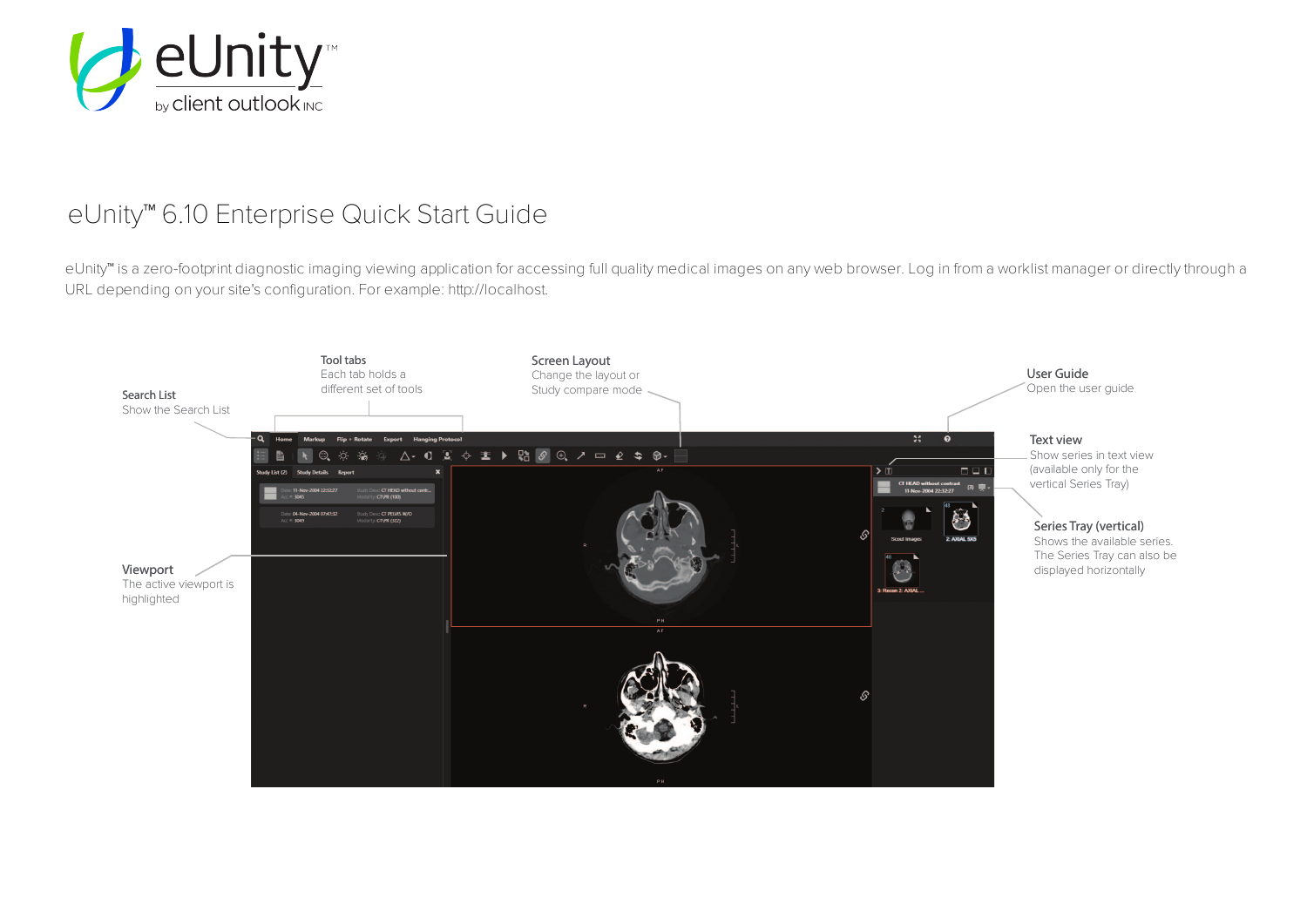

## eUnity™ 6.10 Enterprise Quick Start Guide

eUnity™ is a zero-footprint diagnostic imaging viewing application for accessing full quality medical images on any web browser. Log in from a worklist manager or directly through a URL depending on your site's configuration. For example: http://localhost.

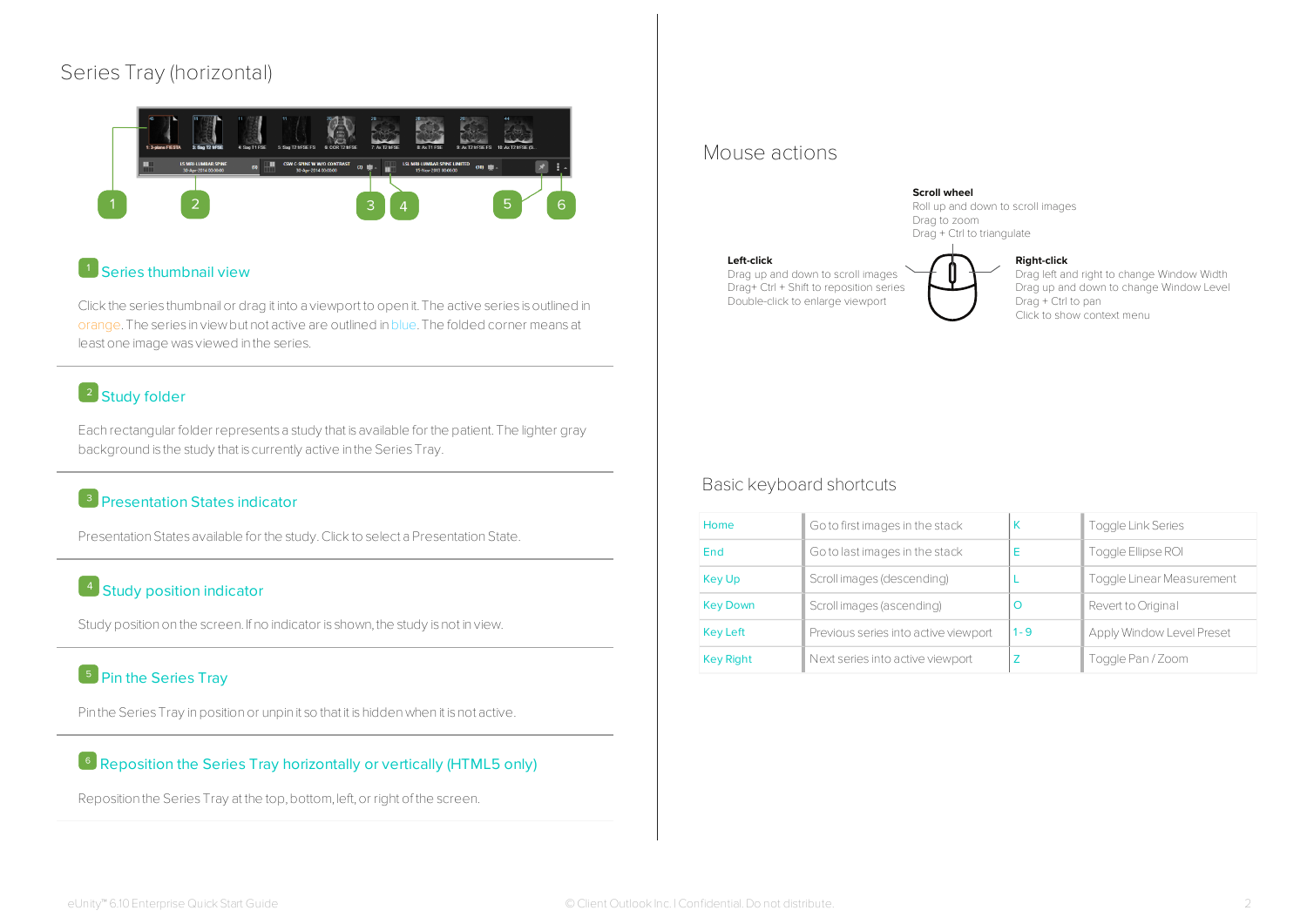## Series Tray (horizontal)



### Series thumbnail view

Click the series thumbnail or drag it into a viewport to open it. The active series is outlined in orange.The series in viewbut not active are outlined inblue.The folded corner means at least one image was viewed in the series.

## <sup>2</sup> Study folder

Each rectangular folder represents a study that is available for the patient.The lighter gray background is the study that is currently active in the Series Tray.

## **B** Presentation States indicator

Presentation States available for the study. Click to select a Presentation State.

## 4 Study position indicator

Study position on the screen. If no indicator is shown, the study is not in view.

## <sup>5</sup> Pin the Series Tray

Pin the Series Tray in position or unpin it so that it is hidden when it is not active.

### Reposition the Series Tray horizontally or vertically (HTML5 only)

Reposition the Series Tray at the top, bottom, left, or right of the screen.

### Mouse actions

#### **Scroll wheel**

Roll up and down to scroll images Drag to zoom Drag + Ctrl to triangulate

#### **Left-click**

Drag up and down to scroll images Drag+ Ctrl + Shift to reposition series Double-click to enlarge viewport



**Right-click** 

Drag left and right to change Window Width Drag up and down to change Window Level Drag + Ctrl to pan Click to show context menu

### Basic keyboard shortcuts

| Home             | Go to first images in the stack      | К       | <b>Toggle Link Series</b> |  |
|------------------|--------------------------------------|---------|---------------------------|--|
| End              | Go to last images in the stack       | E       | Toggle Ellipse ROI        |  |
| Key Up           | Scroll images (descending)           |         | Toggle Linear Measurement |  |
| <b>Key Down</b>  | Scroll images (ascending)            | C       | Revert to Original        |  |
| <b>Key Left</b>  | Previous series into active viewport | $1 - 9$ | Apply Window Level Preset |  |
| <b>Key Right</b> | Next series into active viewport     | ∠       | Toggle Pan / Zoom         |  |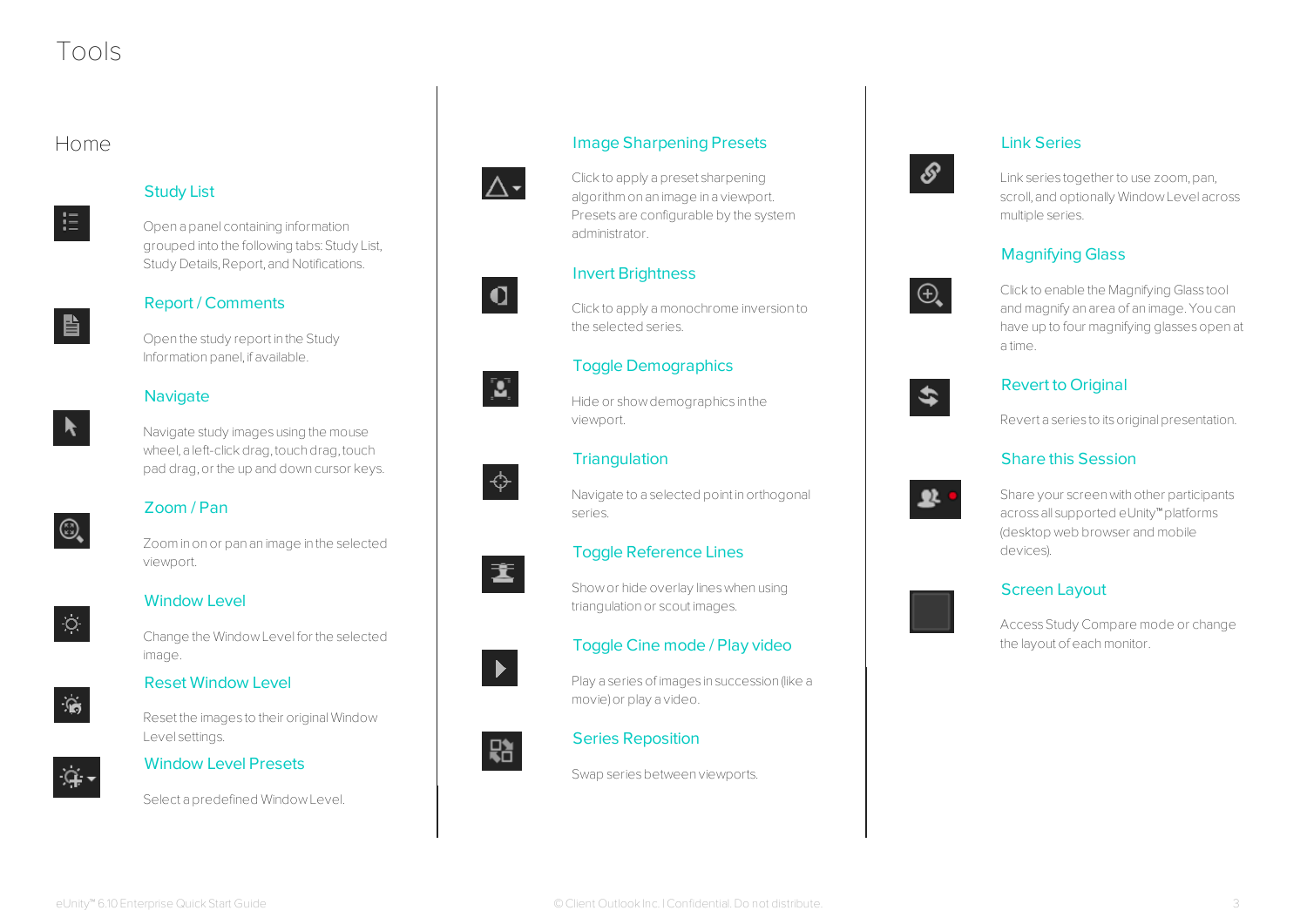# Tools

## Home



#### Study List

Open a panel containing information grouped into the following tabs: Study List, Study Details, Report, and Notifications.



### Report / Comments

Open the study report in the Study Information panel, if available.

#### **Navigate**



Navigate study images using the mouse wheel, a left-click drag, touch drag, touch pad drag,or the up and down cursor keys.

## Zoom / Pan

Zoominonor pan an image in the selected viewport.



 $\textcircled{\scriptsize{2}}$ 

## Window Level

Change the WindowLevel for the selected image.

## Reset Window Level



Reset the images to their originalWindow Level settings.



### Window Level Presets

Select a predefined WindowLevel.



#### algorithmon an image in a viewport. Presets are configurable by the system administrator.



# $\mathbf{Z}$



畫

Navigate to a selected point in orthogonal series.

Image Sharpening Presets

Clickto apply a preset sharpening

Clickto apply amonochrome inversion to

Invert Brightness

the selected series.

viewport.

**Triangulation** 

Toggle Demographics

Hide or showdemographics in the

## Toggle Reference Lines

Showor hide overlay lineswhen using triangulation or scout images.

### Toggle Cine mode / Play video

Play a series of images in succession (like a movie)or play a video.



#### Series Reposition

Swap series between viewports.

## Link Series



Link series together to use zoom, pan, scroll,and optionally WindowLevel across multiple series.

## Magnifying Glass



Clickto enable the Magnifying Glass tool and magnify an area of an image.You can have up to four magnifying glassesopen at a time.

# \$

#### Revert to Original

Revert a series to its original presentation.

### Share this Session



Share your screen with other participants across all supported eUnity™platforms (desktop web browser and mobile devices).

### Screen Layout

Access Study Compare mode or change the layout of each monitor.



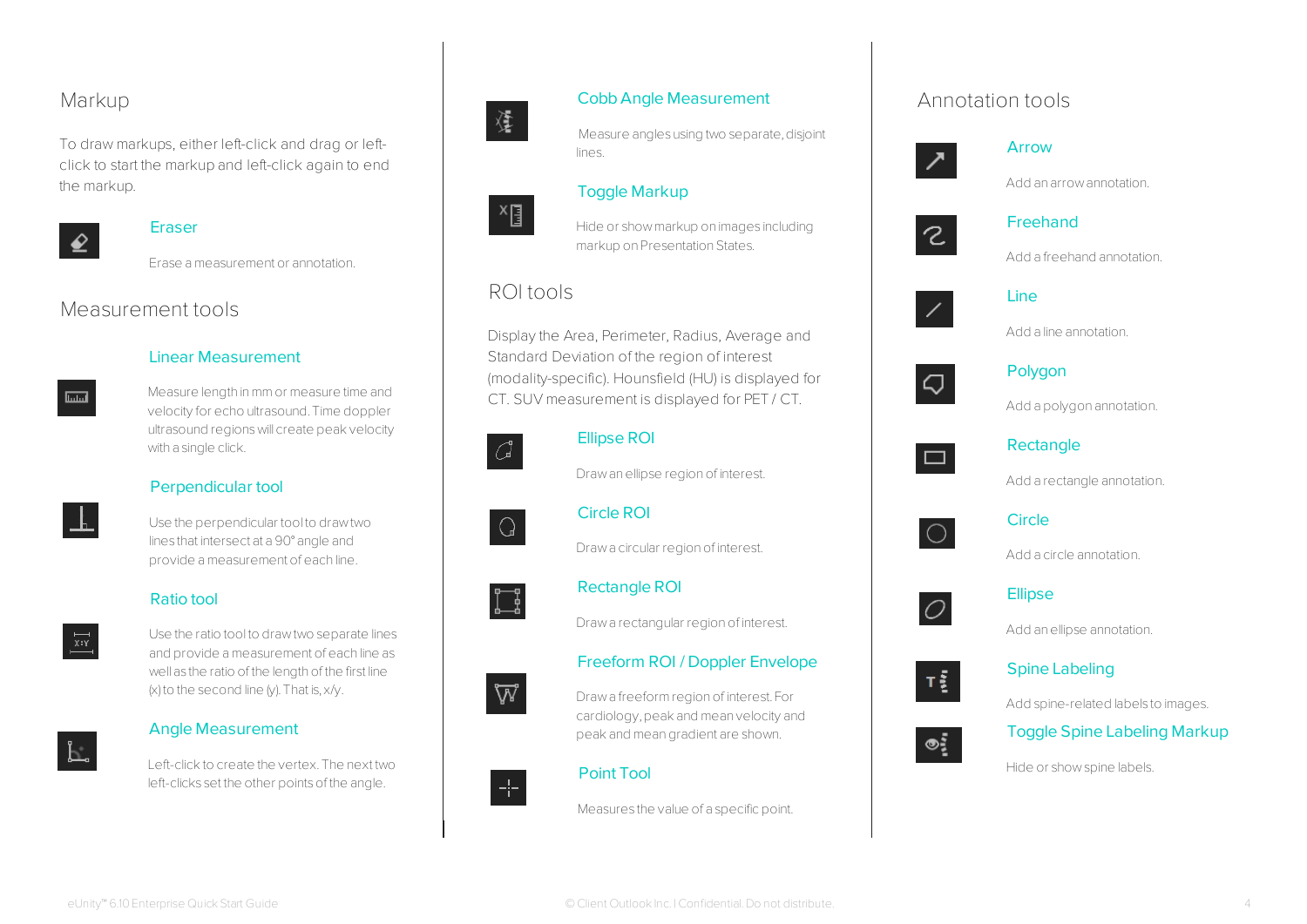## Markup

To draw markups, either left-click and drag or leftclick to start the markup and left-click again to end the markup.



#### **Eraser**

Erase ameasurement or annotation.

## Measurement tools



Measure length inmmor measure time and velocity for echo ultrasound.Time doppler ultrasound regionswill create peakvelocity with a single click.



### Perpendicular tool

Use the perpendicular tool to drawtwo lines that intersect at a 90° angle and provide ameasurement of each line.





Use the ratio tool to drawtwo separate lines and provide ameasurement of each line as well as the ratio of the length of the first line  $(x)$  to the second line  $(y)$ . That is,  $x/y$ .

#### Angle Measurement

Left-clickto create the vertex.The next two left-clicks set the other points of the angle.



 $\mathbb{F}^{\times}$ 

#### Cobb Angle Measurement

Measure angles using two separate, disjoint lines.

#### Toggle Markup

Hide or showmarkup on images including markup on Presentation States.

## ROI tools

Display the Area, Perimeter, Radius, Average and Standard Deviation of the region of interest (modality-specific). Hounsfield (HU) is displayed for CT. SUV measurement is displayed for PET / CT.



 $\Omega$ 

#### Ellipse ROI

Draw an ellipse region of interest.

Circle ROI

Drawa circular region of interest.



₩

#### Rectangle ROI

Draw a rectangular region of interest.

#### Freeform ROI / Doppler Envelope

Drawa freeformregionof interest.For cardiology,peak and mean velocity and peak and meangradient are shown.



#### Point Tool

Measures the value of a specific point.

## Annotation tools



#### Arrow

Add an arrowannotation.



#### Freehand

Add a freehand annotation.



#### Line





#### Polygon

Add a polygon annotation.



#### Rectangle

Add a rectangle annotation.



#### **Circle**

Add a circle annotation.



#### **Ellipse**

Add anellipse annotation.



 $\circ$ :

#### Spine Labeling

Add spine-related labels to images.



Hide or showspine labels.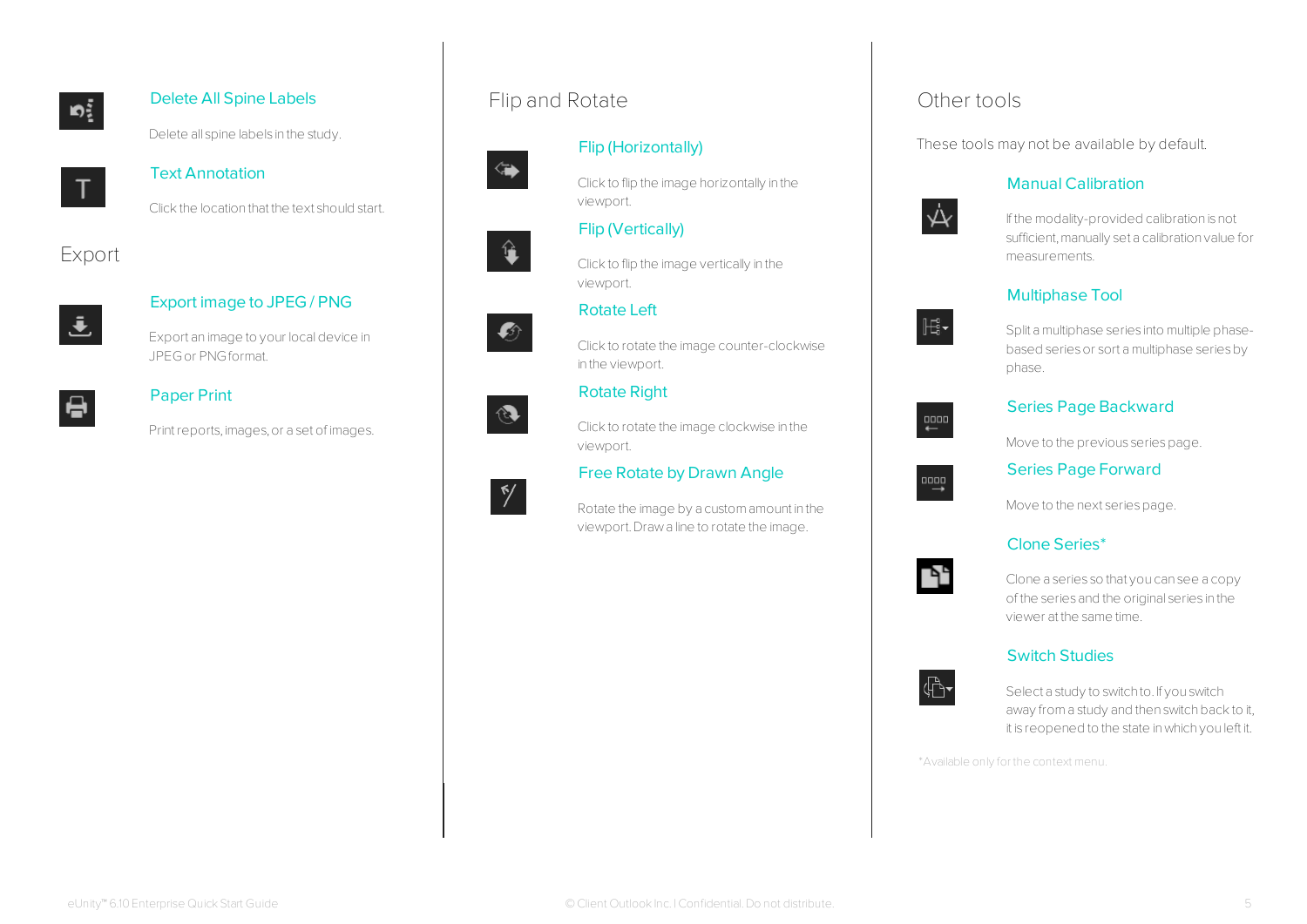

## Delete All Spine Labels

Delete all spine labels in the study.



#### Text Annotation

Clickthe location that the text should start.

## Export



#### Export image to JPEG / PNG

Export an image to your localdevice in JPEGor PNGformat.



#### Paper Print

Print reports, images, or a set of images.

## Flip and Rotate



#### Flip (Horizontally)



Clickto flip the image horizontally in the viewport.

#### Flip (Vertically)

Clickto flip the image vertically in the viewport.

#### Rotate Left



 $\mathbf{\hat{u}}$ 

Click to rotate the image counter-clockwise in the viewport.

#### Rotate Right

Clickto rotate the image clockwise in the viewport.

#### Free Rotate by Drawn Angle

Rotate the image by a customamount in the viewport.Drawa line to rotate the image.

## Other tools

These tools may not be available by default.

#### Manual Calibration



If the modality-provided calibration is not sufficient, manually set a calibration value for measurements.

#### Multiphase Tool



Split amultiphase series into multiple phasebased series or sort a multiphase series by phase.

# $\xleftarrow{\tt q000}$

#### Series Page Backward

Move to the previous series page.



#### Series Page Forward

Move to the next series page.

#### Clone Series\*



Clone a series so that you can see a copy of the series and the original series in the viewer at the same time.

### Switch Studies



Select a study to switch to. If you switch away from a study and then switch back to it, it is reopened to the state inwhich you left it.

\*Available only for the context menu.